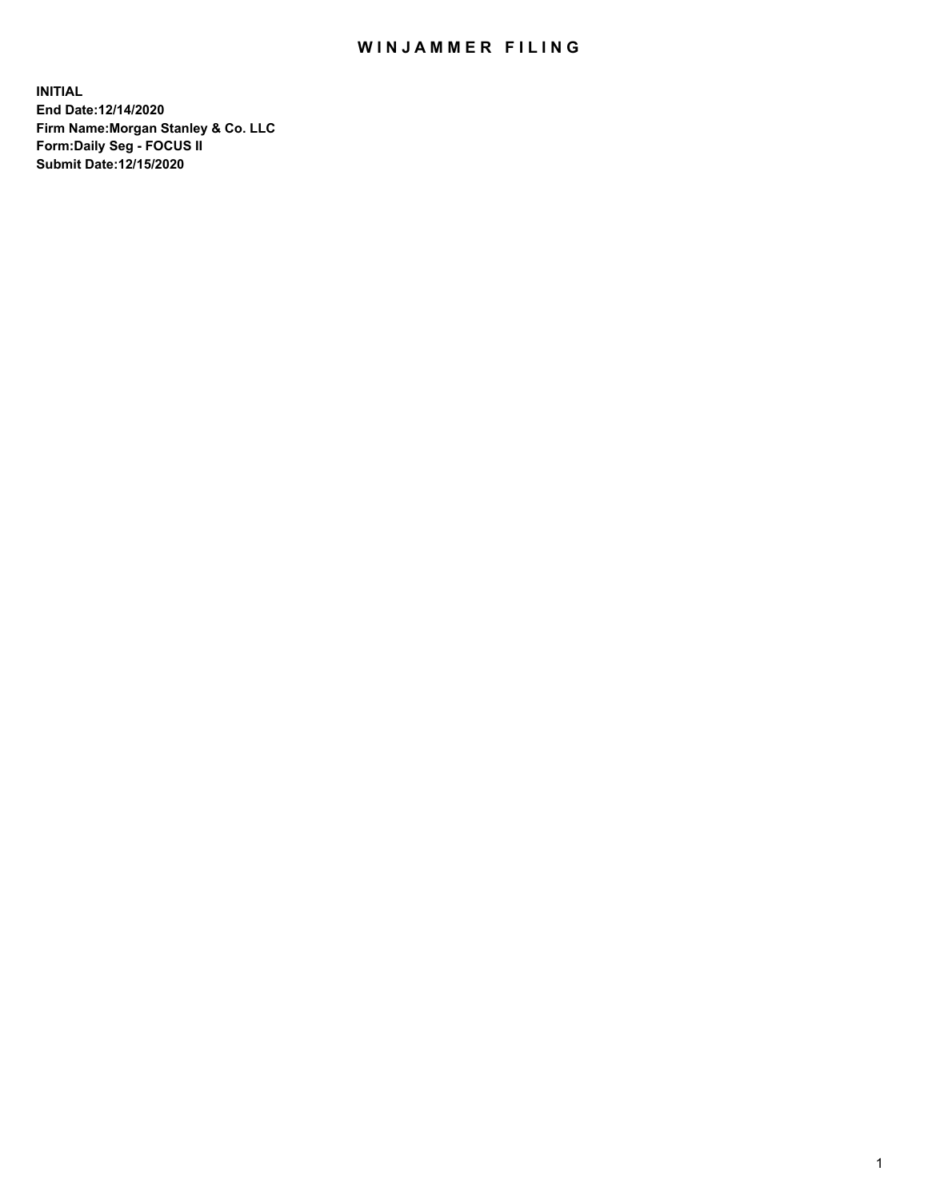## WIN JAMMER FILING

**INITIAL End Date:12/14/2020 Firm Name:Morgan Stanley & Co. LLC Form:Daily Seg - FOCUS II Submit Date:12/15/2020**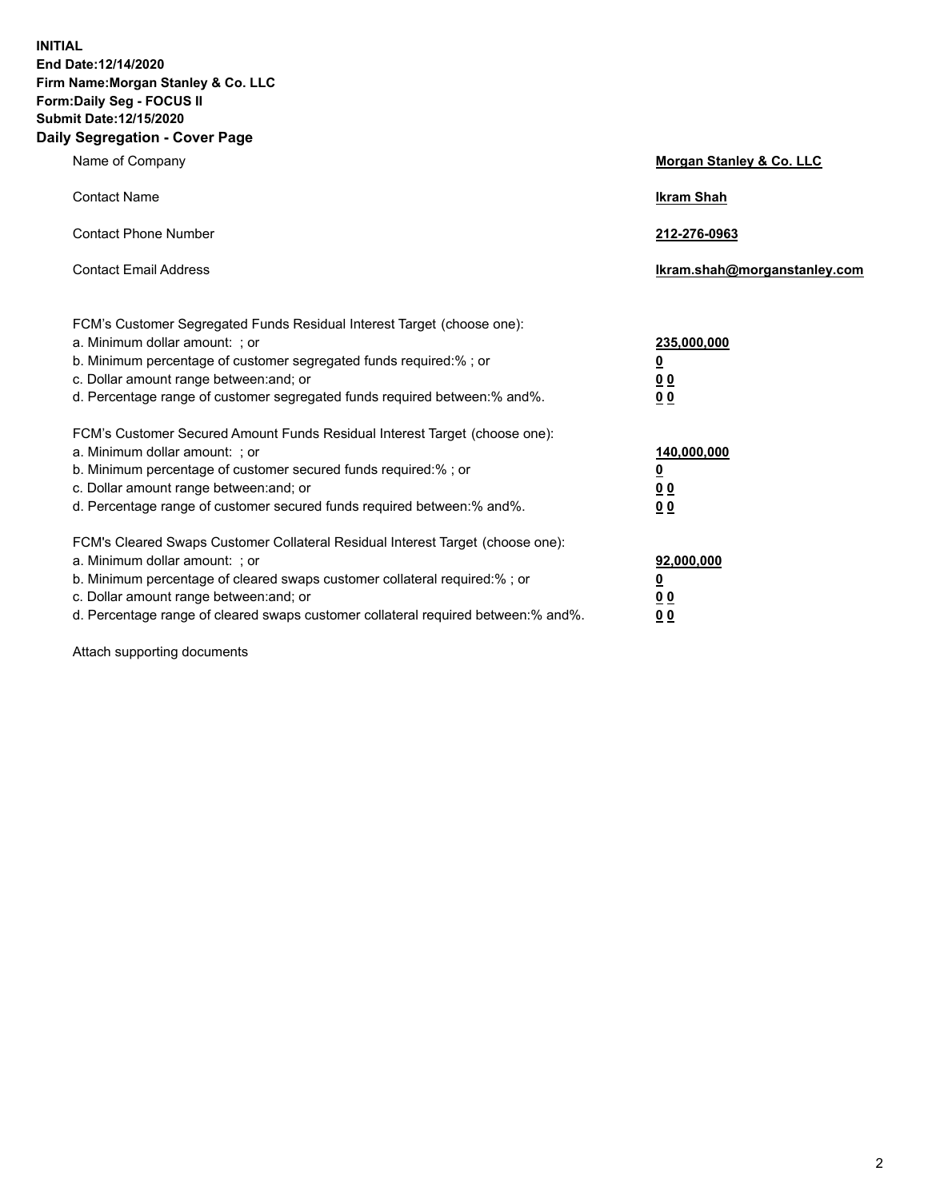**INITIAL End Date:12/14/2020 Firm Name:Morgan Stanley & Co. LLC Form:Daily Seg - FOCUS II Submit Date:12/15/2020 Daily Segregation - Cover Page**

| Name of Company                                                                                                                                                                                                                                                                                                                | Morgan Stanley & Co. LLC                                |
|--------------------------------------------------------------------------------------------------------------------------------------------------------------------------------------------------------------------------------------------------------------------------------------------------------------------------------|---------------------------------------------------------|
| <b>Contact Name</b>                                                                                                                                                                                                                                                                                                            | <b>Ikram Shah</b>                                       |
| <b>Contact Phone Number</b>                                                                                                                                                                                                                                                                                                    | 212-276-0963                                            |
| <b>Contact Email Address</b>                                                                                                                                                                                                                                                                                                   | Ikram.shah@morganstanley.com                            |
| FCM's Customer Segregated Funds Residual Interest Target (choose one):<br>a. Minimum dollar amount: ; or<br>b. Minimum percentage of customer segregated funds required:% ; or<br>c. Dollar amount range between: and; or<br>d. Percentage range of customer segregated funds required between: % and %.                       | 235,000,000<br><u>0</u><br><u>00</u><br><u>00</u>       |
| FCM's Customer Secured Amount Funds Residual Interest Target (choose one):<br>a. Minimum dollar amount: ; or<br>b. Minimum percentage of customer secured funds required:% ; or<br>c. Dollar amount range between: and; or<br>d. Percentage range of customer secured funds required between:% and%.                           | 140,000,000<br><u>0</u><br><u>0 0</u><br>0 <sub>0</sub> |
| FCM's Cleared Swaps Customer Collateral Residual Interest Target (choose one):<br>a. Minimum dollar amount: ; or<br>b. Minimum percentage of cleared swaps customer collateral required:% ; or<br>c. Dollar amount range between: and; or<br>d. Percentage range of cleared swaps customer collateral required between:% and%. | 92,000,000<br><u>0</u><br><u>00</u><br>00               |

Attach supporting documents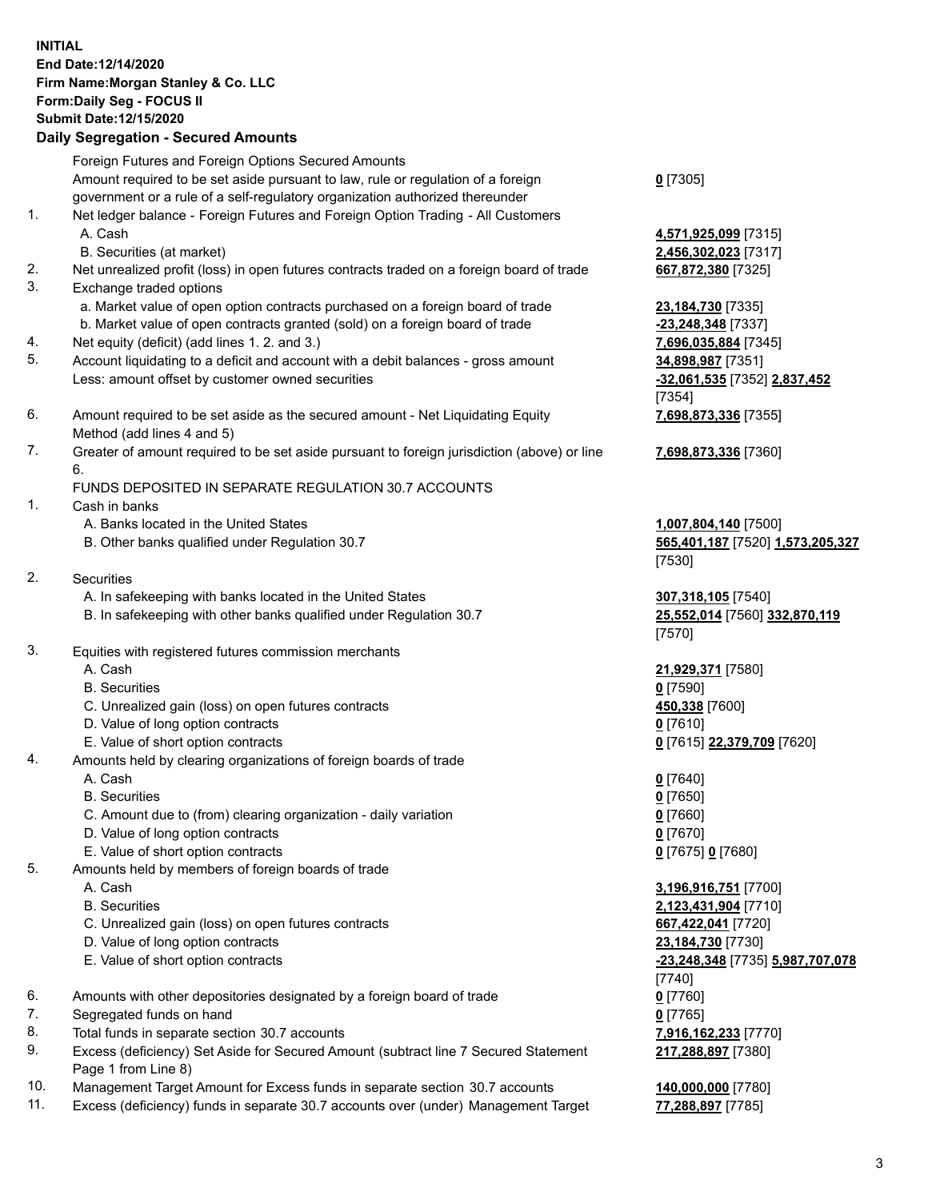## **INITIAL End Date:12/14/2020 Firm Name:Morgan Stanley & Co. LLC Form:Daily Seg - FOCUS II Submit Date:12/15/2020**

#### **Daily Segregation - Secured Amounts**

Foreign Futures and Foreign Options Secured Amounts Amount required to be set aside pursuant to law, rule or regulation of a foreign government or a rule of a self-regulatory organization authorized thereunder

- 1. Net ledger balance Foreign Futures and Foreign Option Trading All Customers A. Cash **4,571,925,099** [7315]
	- B. Securities (at market) **2,456,302,023** [7317]
- 2. Net unrealized profit (loss) in open futures contracts traded on a foreign board of trade **667,872,380** [7325]
- 3. Exchange traded options
	- a. Market value of open option contracts purchased on a foreign board of trade **23,184,730** [7335]
	- b. Market value of open contracts granted (sold) on a foreign board of trade **-23,248,348** [7337]
- 4. Net equity (deficit) (add lines 1. 2. and 3.) **7,696,035,884** [7345]
- 5. Account liquidating to a deficit and account with a debit balances gross amount **34,898,987** [7351] Less: amount offset by customer owned securities **-32,061,535** [7352] **2,837,452**
- 6. Amount required to be set aside as the secured amount Net Liquidating Equity Method (add lines 4 and 5)
- 7. Greater of amount required to be set aside pursuant to foreign jurisdiction (above) or line 6.

#### FUNDS DEPOSITED IN SEPARATE REGULATION 30.7 ACCOUNTS

- 1. Cash in banks
	- A. Banks located in the United States **1,007,804,140** [7500]
	- B. Other banks qualified under Regulation 30.7 **565,401,187** [7520] **1,573,205,327**
- 2. Securities
	- A. In safekeeping with banks located in the United States **307,318,105** [7540]
	- B. In safekeeping with other banks qualified under Regulation 30.7 **25,552,014** [7560] **332,870,119**
- 3. Equities with registered futures commission merchants
	-
	- B. Securities **0** [7590]
	- C. Unrealized gain (loss) on open futures contracts **450,338** [7600]
	- D. Value of long option contracts **0** [7610]
	- E. Value of short option contracts **0** [7615] **22,379,709** [7620]
- 4. Amounts held by clearing organizations of foreign boards of trade
	- A. Cash **0** [7640]
	- B. Securities **0** [7650]
	- C. Amount due to (from) clearing organization daily variation **0** [7660]
	- D. Value of long option contracts **0** [7670]
	- E. Value of short option contracts **0** [7675] **0** [7680]
- 5. Amounts held by members of foreign boards of trade
	-
	-
	- C. Unrealized gain (loss) on open futures contracts **667,422,041** [7720]
	- D. Value of long option contracts **23,184,730** [7730]
	-
- 6. Amounts with other depositories designated by a foreign board of trade **0** [7760]
- 7. Segregated funds on hand **0** [7765]
- 8. Total funds in separate section 30.7 accounts **7,916,162,233** [7770]
- 9. Excess (deficiency) Set Aside for Secured Amount (subtract line 7 Secured Statement Page 1 from Line 8)
- 10. Management Target Amount for Excess funds in separate section 30.7 accounts **140,000,000** [7780]
- 11. Excess (deficiency) funds in separate 30.7 accounts over (under) Management Target **77,288,897** [7785]

### **0** [7305]

[7354] **7,698,873,336** [7355]

**7,698,873,336** [7360]

# [7530]

[7570]

A. Cash **21,929,371** [7580]

 A. Cash **3,196,916,751** [7700] B. Securities **2,123,431,904** [7710] E. Value of short option contracts **-23,248,348** [7735] **5,987,707,078** [7740] **217,288,897** [7380]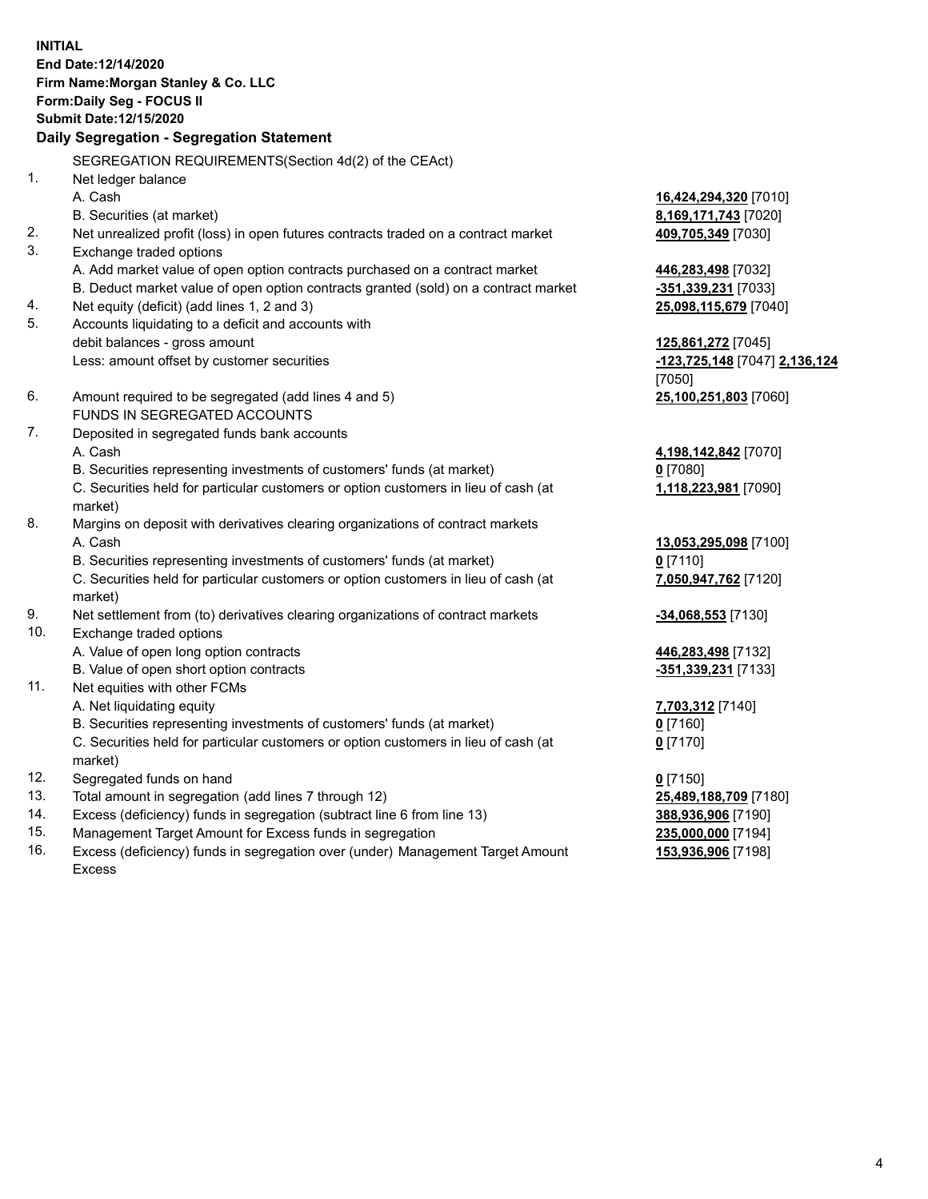**INITIAL End Date:12/14/2020 Firm Name:Morgan Stanley & Co. LLC Form:Daily Seg - FOCUS II Submit Date:12/15/2020 Daily Segregation - Segregation Statement** SEGREGATION REQUIREMENTS(Section 4d(2) of the CEAct) 1. Net ledger balance A. Cash **16,424,294,320** [7010] B. Securities (at market) **8,169,171,743** [7020] 2. Net unrealized profit (loss) in open futures contracts traded on a contract market **409,705,349** [7030] 3. Exchange traded options A. Add market value of open option contracts purchased on a contract market **446,283,498** [7032] B. Deduct market value of open option contracts granted (sold) on a contract market **-351,339,231** [7033] 4. Net equity (deficit) (add lines 1, 2 and 3) **25,098,115,679** [7040] 5. Accounts liquidating to a deficit and accounts with debit balances - gross amount **125,861,272** [7045] Less: amount offset by customer securities **-123,725,148** [7047] **2,136,124** [7050] 6. Amount required to be segregated (add lines 4 and 5) **25,100,251,803** [7060] FUNDS IN SEGREGATED ACCOUNTS 7. Deposited in segregated funds bank accounts A. Cash **4,198,142,842** [7070] B. Securities representing investments of customers' funds (at market) **0** [7080] C. Securities held for particular customers or option customers in lieu of cash (at market) **1,118,223,981** [7090] 8. Margins on deposit with derivatives clearing organizations of contract markets A. Cash **13,053,295,098** [7100] B. Securities representing investments of customers' funds (at market) **0** [7110] C. Securities held for particular customers or option customers in lieu of cash (at market) **7,050,947,762** [7120] 9. Net settlement from (to) derivatives clearing organizations of contract markets **-34,068,553** [7130] 10. Exchange traded options A. Value of open long option contracts **446,283,498** [7132] B. Value of open short option contracts **-351,339,231** [7133] 11. Net equities with other FCMs A. Net liquidating equity **7,703,312** [7140] B. Securities representing investments of customers' funds (at market) **0** [7160] C. Securities held for particular customers or option customers in lieu of cash (at market) **0** [7170] 12. Segregated funds on hand **0** [7150] 13. Total amount in segregation (add lines 7 through 12) **25,489,188,709** [7180] 14. Excess (deficiency) funds in segregation (subtract line 6 from line 13) **388,936,906** [7190]

- 15. Management Target Amount for Excess funds in segregation **235,000,000** [7194]
- 16. Excess (deficiency) funds in segregation over (under) Management Target Amount Excess

**153,936,906** [7198]